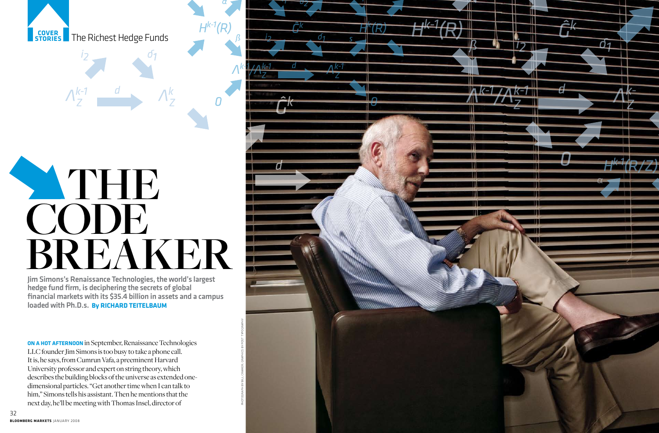**On a hot afternoon** in September, Renaissance Technologies LLC founder Jim Simons is too busy to take a phone call. It is, he says, from Cumrun Vafa, a preeminent Harvard University professor and expert on string theory, which describes the building blocks of the universe as extended onedimensional particles. "Get another time when I can talk to him," Simons tells his assistant. Then he mentions that the next day, he'll be meeting with Thomas Insel, director of

Jim Simons's Renaissance Technologies, the world's largest hedge fund firm, is deciphering the secrets of global financial markets with its \$35.4 billion in assets and a campus loaded with Ph.D.s. By RICHARD TEITELBAUM



# **SATHE** CODE Jim Simons's Renaissance Technologies, the world's largest

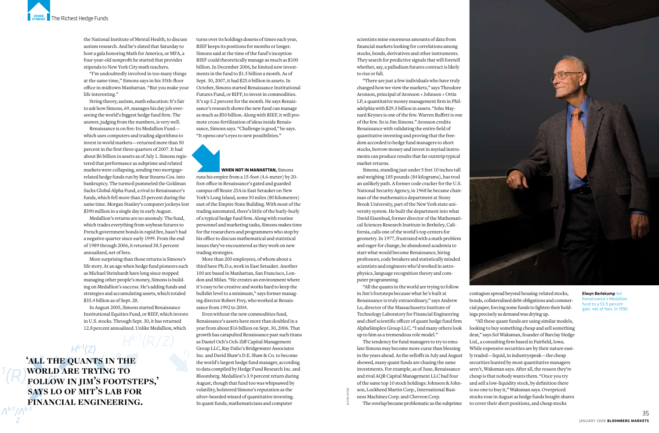the National Institute of Mental Health, to discuss autism research. And he's slated that Saturday to host a gala honoring Math for America, or MFA, a four-year-old nonprofit he started that provides stipends to New York City math teachers.

"I'm undoubtedly involved in too many things at the same time," Simons says in his 35th-floor office in midtown Manhattan. "But you make your life interesting."

String theory, autism, math education: It's fair to ask how Simons, 69, manages his day job overseeing the world's biggest hedge fund firm. The answer, judging from the numbers, is very well.

Renaissance is on fire: Its Medallion Fund which uses computers and trading algorithms to invest in world markets—returned more than 50 percent in the first three quarters of 2007. It had about \$6 billion in assets as of July 1. Simons registered that performance as subprime and related markets were collapsing, sending two mortgagerelated hedge funds run by Bear Stearns Cos. into bankruptcy. The turmoil pummeled the Goldman Sachs Global Alpha Fund, a rival to Renaissance's funds, which fell more than 25 percent during the same time. Morgan Stanley's computer jockeys lost \$390 million in a single day in early August.

Medallion's returns are no anomaly. The fund, which trades everything from soybean futures to French government bonds in rapid fire, hasn't had a negative quarter since early 1999. From the end of 1989 through 2006, it returned 38.5 percent annualized, net of fees.

More surprising than those returns is Simons's life story. At an age when hedge fund pioneers such as Michael Steinhardt have long since stopped managing other people's money, Simons is building on Medallion's success. He's adding funds and strategies and accumulating assets, which totaled \$35.4 billion as of Sept. 28.

In August 2005, Simons started Renaissance Institutional Equities Fund, or RIEF, which invests in U.S. stocks. Through Sept. 30, it has returned 12.8 percent annualized. Unlike Medallion, which

 $H^{k-1}(Z)$ **'all the quants in the world are trying to follow in jim's footsteps,' says lo of mit's lab for financial engineering.**<br> $\Lambda^{k-1}/\Lambda^{k-1}$ 

turns over its holdings dozens of times each year, RIEF keeps its positions for months or longer. Simons said at the time of the fund's inception RIEF could theoretically manage as much as \$100 billion. In December 2006, he limited new investments in the fund to \$1.5 billion a month. As of Sept. 30, 2007, it had \$25.6 billion in assets. In October, Simons started Renaissance Institutional Futures Fund, or RIFF, to invest in commodities. It's up 5.2 percent for the month. He says Renaissance's research shows the new fund can manage as much as \$50 billion. Along with RIEF, it will promote cross-fertilization of ideas inside Renaissance, Simons says. "Challenge is good," he says. "It opens one's eyes to new possibilities."



**When not in Manhattan,** Simons

runs his empire from a 15-foot (4.6-meter) by 20 foot office in Renaissance's gated and guarded campus off Route 25A in East Setauket on New York's Long Island, some 50 miles (80 kilometers) east of the Empire State Building. With most of the trading automated, there's little of the hurly-burly of a typical hedge fund firm. Along with routine personnel and marketing tasks, Simons makes time for the researchers and programmers who stop by his office to discuss mathematical and statistical issues they've encountered as they work on new trading strategies.

More than 200 employees, of whom about a third have Ph.D.s, work in East Setauket. Another 100 are based in Manhattan, San Francisco, London and Milan. "He creates an environment where it's easy to be creative and works hard to keep the bullshit level to a minimum," says former managing director Robert Frey, who worked at Renaissance from 1992 to 2004.

Even without the new commodities fund, Renaissance's assets have more than doubled in a year from about \$16 billion on Sept. 30, 2006. That growth has catapulted Renaissance past such titans as Daniel Och's Och-Ziff Capital Management Group LLC, Ray Dalio's Bridgewater Associates Inc. and David Shaw's D.E. Shaw & Co. to become the world's largest hedge fund manager, according to data compiled by Hedge Fund Research Inc. and Bloomberg. Medallion's 3.9 percent return during August, though that fund too was whipsawed by volatility, bolstered Simons's reputation as the silver-bearded wizard of quantitative investing. In quant funds, mathematicians and computer

scientists mine enormous amounts of data from financial markets looking for correlations among stocks, bonds, derivatives and other instruments. They search for predictive signals that will foretell whether, say, a palladium futures contract is likely to rise or fall.

"There are just a few individuals who have truly changed how we view the markets," says Theodore Aronson, principal of Aronson + Johnson + Ortiz LP, a quantitative money management firm in Philadelphia with \$29.3 billion in assets. "John Maynard Keynes is one of the few. Warren Buffett is one of the few. So is Jim Simons." Aronson credits Renaissance with validating the entire field of quantitative investing and proving that the freedom accorded to hedge fund managers to short stocks, borrow money and invest in myriad instruments can produce results that far outstrip typical market returns.

Simons, standing just under 5 feet 10 inches tall and weighing 185 pounds (84 kilograms), has trod an unlikely path. A former code cracker for the U.S. National Security Agency, in 1968 he became chairman of the mathematics department at Stony Brook University, part of the New York state university system. He built the department into what David Eisenbud, former director of the Mathematical Sciences Research Institute in Berkeley, California, calls one of the world's top centers for geometry. In 1977, frustrated with a math problem and eager for change, he abandoned academia to start what would become Renaissance, hiring professors, code breakers and statistically minded scientists and engineers who'd worked in astrophysics, language recognition theory and computer programming.

"All the quants in the world are trying to follow in Jim's footsteps because what he's built at Renaissance is truly extraordinary," says Andrew Lo, director of the Massachusetts Institute of Technology Laboratory for Financial Engineering and chief scientific officer of quant hedge fund firm AlphaSimplex Group LLC. "I and many others look up to him as a tremendous role model."

The tendency for fund managers to try to emulate Simons may become more curse than blessing in the years ahead. As the selloffs in July and August showed, many quant funds are chasing the same investments. For example, as of June, Renaissance and rival AQR Capital Management LLC had four of the same top 10 stock holdings: Johnson & Johnson, Lockheed Martin Corp., International Business Machines Corp. and Chevron Corp.

The overlap became problematic as the subprime

contagion spread beyond housing-related stocks, bonds, collateralized debt obligations and commercial paper, forcing some funds to lighten their holdings precisely as demand was drying up.

"All these quant funds are using similar models, looking to buy something cheap and sell something dear," says Sol Waksman, founder of Barclay Hedge Ltd., a consulting firm based in Fairfield, Iowa. While expensive securities are by their nature easily traded—liquid, in industryspeak—the cheap securities hunted by most quantitative managers aren't, Waksman says. After all, the reason they're cheap is that nobody wants them. "Once you try and sell a low-liquidity stock, by definition there is no one to buy it," Waksman says. Overpriced stocks rose in August as hedge funds bought shares to cover their short positions, and cheap stocks

Elwyn Berlekamp led enaissance's Medallior fund to a 55.9 percent gain, net of fees, in 1990.

jason grow

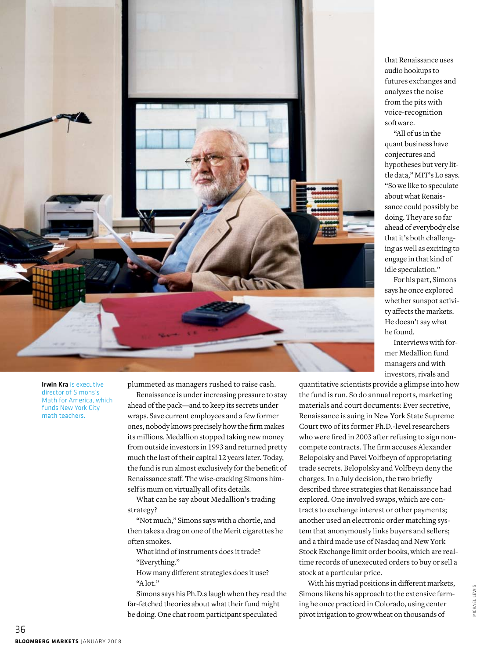

Irwin Kra is executive director of Simons's Math for America, which funds New York City math teachers.

plummeted as managers rushed to raise cash.

Renaissance is under increasing pressure to stay ahead of the pack—and to keep its secrets under wraps. Save current employees and a few former ones, nobody knows precisely how the firm makes its millions. Medallion stopped taking new money from outside investors in 1993 and returned pretty much the last of their capital 12 years later. Today, the fund is run almost exclusively for the benefit of Renaissance staff. The wise-cracking Simons himself is mum on virtually all of its details.

What can he say about Medallion's trading strategy?

"Not much," Simons says with a chortle, and then takes a drag on one of the Merit cigarettes he often smokes.

What kind of instruments does it trade? "Everything."

How many different strategies does it use? "A lot."

Simons says his Ph.D.s laugh when they read the far-fetched theories about what their fund might be doing. One chat room participant speculated

that Renaissance uses audio hookups to futures exchanges and analyzes the noise from the pits with voice-recognition software.

"All of us in the quant business have conjectures and hypotheses but very little data," MIT's Lo says. "So we like to speculate about what Renaissance could possibly be doing. They are so far ahead of everybody else that it's both challenging as well as exciting to engage in that kind of idle speculation."

For his part, Simons says he once explored whether sunspot activity affects the markets. He doesn't say what he found.

Interviews with former Medallion fund managers and with investors, rivals and

quantitative scientists provide a glimpse into how the fund is run. So do annual reports, marketing materials and court documents: Ever secretive, Renaissance is suing in New York State Supreme Court two of its former Ph.D.-level researchers who were fired in 2003 after refusing to sign noncompete contracts. The firm accuses Alexander Belopolsky and Pavel Volfbeyn of appropriating trade secrets. Belopolsky and Volfbeyn deny the charges. In a July decision, the two briefly described three strategies that Renaissance had explored. One involved swaps, which are contracts to exchange interest or other payments; another used an electronic order matching system that anonymously links buyers and sellers; and a third made use of Nasdaq and New York Stock Exchange limit order books, which are realtime records of unexecuted orders to buy or sell a stock at a particular price.

With his myriad positions in different markets, Simons likens his approach to the extensive farming he once practiced in Colorado, using center pivot irrigation to grow wheat on thousands of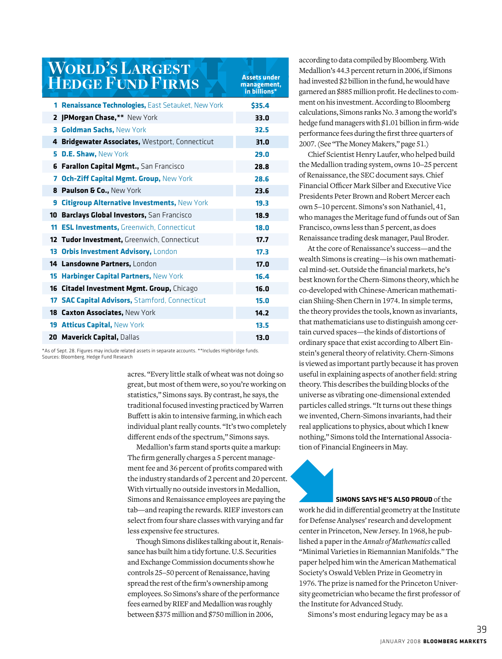### **WORLD'S LARGEST HEDGE FUND FIRMS**

|                  |                                                          | in billions* |
|------------------|----------------------------------------------------------|--------------|
| 1                | <b>Renaissance Technologies, East Setauket, New York</b> | \$35.4       |
|                  | 2 JPMorgan Chase,** New York                             | 33.0         |
| з                | <b>Goldman Sachs, New York</b>                           | 32.5         |
| 4                | Bridgewater Associates, Westport, Connecticut            | 31.0         |
| 5.               | <b>D.E. Shaw, New York</b>                               | 29.0         |
|                  | <b>6 Farallon Capital Mgmt., San Francisco</b>           | 28.8         |
| 7                | <b>Och-Ziff Capital Mgmt. Group, New York</b>            | 28.6         |
|                  | 8 Paulson & Co., New York                                | 23.6         |
| 9                | <b>Citigroup Alternative Investments, New York</b>       | 19.3         |
| 10               | <b>Barclays Global Investors, San Francisco</b>          | 18.9         |
| 11               | <b>ESL Investments, Greenwich, Connecticut</b>           | 18.0         |
|                  | 12 Tudor Investment, Greenwich, Connecticut              | 17.7         |
| 13               | <b>Orbis Investment Advisory, London</b>                 | 17.3         |
|                  | 14 Lansdowne Partners, London                            | 17.0         |
| 15               | Harbinger Capital Partners, New York                     | 16.4         |
|                  | 16 Citadel Investment Mgmt. Group, Chicago               | 16.0         |
| 17 <sup>17</sup> | <b>SAC Capital Advisors, Stamford, Connecticut</b>       | 15.0         |
|                  | 18 Caxton Associates, New York                           | 14.2         |
|                  | <b>19 Atticus Capital, New York</b>                      | 13.5         |
|                  | 20 Maverick Capital, Dallas                              | 13.0         |

\*As of Sept. 28. Figures may include related assets in separate accounts. \*\*Includes Highbridge funds. Sources: Bloomberg, Hedge Fund Research

> acres. "Every little stalk of wheat was not doing so great, but most of them were, so you're working on statistics," Simons says. By contrast, he says, the traditional focused investing practiced by Warren Buffett is akin to intensive farming, in which each individual plant really counts. "It's two completely different ends of the spectrum," Simons says.

**Assets under management,**

Medallion's farm stand sports quite a markup: The firm generally charges a 5 percent management fee and 36 percent of profits compared with the industry standards of 2 percent and 20 percent. With virtually no outside investors in Medallion, Simons and Renaissance employees are paying the tab—and reaping the rewards. RIEF investors can select from four share classes with varying and far less expensive fee structures.

Though Simons dislikes talking about it, Renaissance has built him a tidy fortune. U.S. Securities and Exchange Commission documents show he controls 25–50 percent of Renaissance, having spread the rest of the firm's ownership among employees. So Simons's share of the performance fees earned by RIEF and Medallion was roughly between \$375 million and \$750 million in 2006,

according to data compiled by Bloomberg. With Medallion's 44.3 percent return in 2006, if Simons had invested \$2 billion in the fund, he would have garnered an \$885 million profit. He declines to comment on his investment. According to Bloomberg calculations, Simons ranks No. 3 among the world's hedge fund managers with \$1.01 billion in firm-wide performance fees during the first three quarters of 2007. (See "The Money Makers," page 51.)

Chief Scientist Henry Laufer, who helped build the Medallion trading system, owns 10–25 percent of Renaissance, the SEC document says. Chief Financial Officer Mark Silber and Executive Vice Presidents Peter Brown and Robert Mercer each own 5–10 percent. Simons's son Nathaniel, 41, who manages the Meritage fund of funds out of San Francisco, owns less than 5 percent, as does Renaissance trading desk manager, Paul Broder.

At the core of Renaissance's success—and the wealth Simons is creating—is his own mathematical mind-set. Outside the financial markets, he's best known for the Chern-Simons theory, which he co-developed with Chinese-American mathematician Shiing-Shen Chern in 1974. In simple terms, the theory provides the tools, known as invariants, that mathematicians use to distinguish among certain curved spaces—the kinds of distortions of ordinary space that exist according to Albert Einstein's general theory of relativity. Chern-Simons is viewed as important partly because it has proven useful in explaining aspects of another field: string theory. This describes the building blocks of the universe as vibrating one-dimensional extended particles called strings. "It turns out these things we invented, Chern-Simons invariants, had their real applications to physics, about which I knew nothing," Simons told the International Association of Financial Engineers in May.

**Simons says he's also proud** of the work he did in differential geometry at the Institute for Defense Analyses' research and development center in Princeton, New Jersey. In 1968, he published a paper in the *Annals of Mathematics* called "Minimal Varieties in Riemannian Manifolds." The paper helped him win the American Mathematical Society's Oswald Veblen Prize in Geometry in 1976. The prize is named for the Princeton University geometrician who became the first professor of the Institute for Advanced Study.

Simons's most enduring legacy may be as a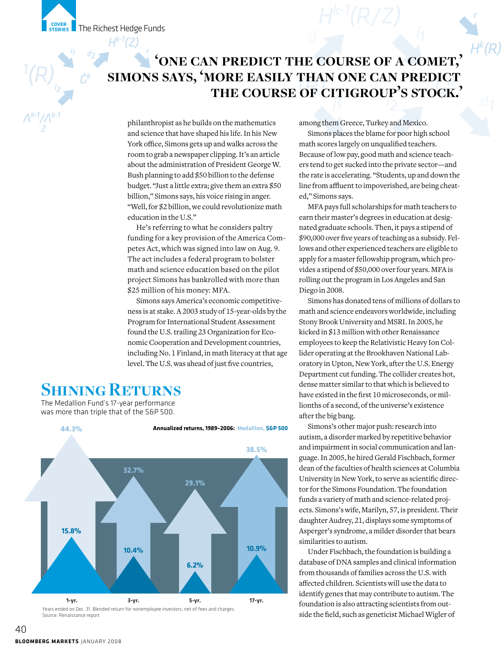**The Richest Hedge Funds**  $H^{k-1}(Z)$ 

**cover** 

#### **'one can predict the course of a comet,' simons says, 'more easily than one can predict the course of citigroup's stock.'**

philanthropist as he builds on the mathematics and science that have shaped his life. In his New York office, Simons gets up and walks across the room to grab a newspaper clipping. It's an article about the administration of President George W. Bush planning to add \$50 billion to the defense budget. "Just a little extra; give them an extra \$50 billion," Simons says, his voice rising in anger. "Well, for \$2 billion, we could revolutionize math education in the U.S."

He's referring to what he considers paltry funding for a key provision of the America Competes Act, which was signed into law on Aug. 9. The act includes a federal program to bolster math and science education based on the pilot project Simons has bankrolled with more than \$25 million of his money: MFA.

Simons says America's economic competitiveness is at stake. A 2003 study of 15-year-olds by the Program for International Student Assessment found the U.S. trailing 23 Organization for Economic Cooperation and Development countries, including No. 1 Finland, in math literacy at that age level. The U.S. was ahead of just five countries,

## **SHINING RETURNS**

The Medallion Fund's 17-year performance was more than triple that of the S&P 500.



Sears ended on Dec. 31. Blended return for nonemployee investors, net of fees and charges.<br>Source: Renaissance report enough of Years ended the field, such as geneticist Michael Wigler of Source: Renaissance report

among them Greece, Turkey and Mexico.

Simons places the blame for poor high school math scores largely on unqualified teachers. Because of low pay, good math and science teachers tend to get sucked into the private sector—and the rate is accelerating. "Students, up and down the line from affluent to impoverished, are being cheated," Simons says.

MFA pays full scholarships for math teachers to earn their master's degrees in education at designated graduate schools. Then, it pays a stipend of \$90,000 over five years of teaching as a subsidy. Fellows and other experienced teachers are eligible to apply for a master fellowship program, which provides a stipend of \$50,000 over four years. MFA is rolling out the program in Los Angeles and San Diego in 2008.

Simons has donated tens of millions of dollars to math and science endeavors worldwide, including Stony Brook University and MSRI. In 2005, he kicked in \$13 million with other Renaissance employees to keep the Relativistic Heavy Ion Collider operating at the Brookhaven National Laboratory in Upton, New York, after the U.S. Energy Department cut funding. The collider creates hot, dense matter similar to that which is believed to have existed in the first 10 microseconds, or millionths of a second, of the universe's existence after the big bang.

Simons's other major push: research into autism, a disorder marked by repetitive behavior and impairment in social communication and language. In 2005, he hired Gerald Fischbach, former dean of the faculties of health sciences at Columbia University in New York, to serve as scientific director for the Simons Foundation. The foundation funds a variety of math and science-related projects. Simons's wife, Marilyn, 57, is president. Their daughter Audrey, 21, displays some symptoms of Asperger's syndrome, a milder disorder that bears similarities to autism.

Under Fischbach, the foundation is building a database of DNA samples and clinical information from thousands of families across the U.S. with affected children. Scientists will use the data to identify genes that may contribute to autism. The foundation is also attracting scientists from out-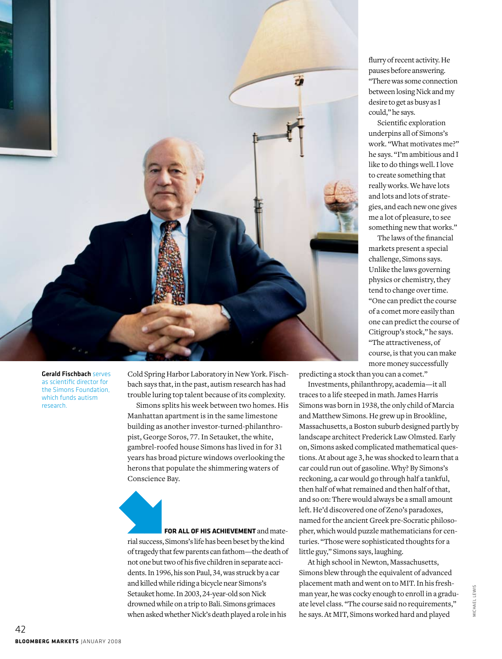

Gerald Fischbach serves as scientific director for the Simons Foundation, which funds autism research.

Cold Spring Harbor Laboratory in New York. Fischbach says that, in the past, autism research has had trouble luring top talent because of its complexity.

Simons splits his week between two homes. His Manhattan apartment is in the same limestone building as another investor-turned-philanthropist, George Soros, 77. In Setauket, the white, gambrel-roofed house Simons has lived in for 31 years has broad picture windows overlooking the herons that populate the shimmering waters of Conscience Bay.

**For all of his achievement** and mate-

rial success, Simons's life has been beset by the kind of tragedy that few parents can fathom—the death of not one but two of his five children in separate accidents. In 1996, his son Paul, 34, was struck by a car and killed while riding a bicycle near Simons's Setauket home. In 2003, 24-year-old son Nick drowned while on a trip to Bali. Simons grimaces

when asked whether Nick's death played a role in his

flurry of recent activity. He pauses before answering. "There was some connection between losing Nick and my desire to get as busy as I could," he says.

Scientific exploration underpins all of Simons's work. "What motivates me?" he says. "I'm ambitious and I like to do things well. I love to create something that really works. We have lots and lots and lots of strategies, and each new one gives me a lot of pleasure, to see something new that works."

The laws of the financial markets present a special challenge, Simons says. Unlike the laws governing physics or chemistry, they tend to change over time. "One can predict the course of a comet more easily than one can predict the course of Citigroup's stock," he says. "The attractiveness, of course, is that you can make more money successfully

predicting a stock than you can a comet."

Investments, philanthropy, academia—it all traces to a life steeped in math. James Harris Simons was born in 1938, the only child of Marcia and Matthew Simons. He grew up in Brookline, Massachusetts, a Boston suburb designed partly by landscape architect Frederick Law Olmsted. Early on, Simons asked complicated mathematical questions. At about age 3, he was shocked to learn that a car could run out of gasoline. Why? By Simons's reckoning, a car would go through half a tankful, then half of what remained and then half of that, and so on: There would always be a small amount left. He'd discovered one of Zeno's paradoxes, named for the ancient Greek pre-Socratic philosopher, which would puzzle mathematicians for centuries. "Those were sophisticated thoughts for a little guy," Simons says, laughing.

At high school in Newton, Massachusetts, Simons blew through the equivalent of advanced placement math and went on to MIT. In his freshman year, he was cocky enough to enroll in a graduate level class. "The course said no requirements," he says. At MIT, Simons worked hard and played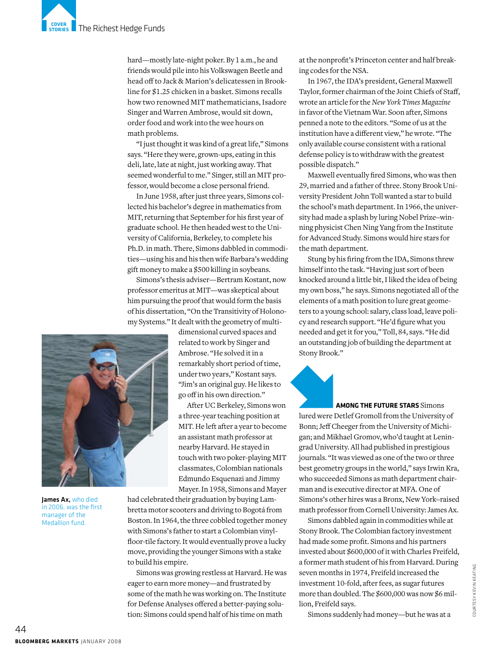hard—mostly late-night poker. By 1 a.m., he and friends would pile into his Volkswagen Beetle and head off to Jack & Marion's delicatessen in Brookline for \$1.25 chicken in a basket. Simons recalls how two renowned MIT mathematicians, Isadore Singer and Warren Ambrose, would sit down, order food and work into the wee hours on math problems.

"I just thought it was kind of a great life," Simons says. "Here they were, grown-ups, eating in this deli, late, late at night, just working away. That seemed wonderful to me." Singer, still an MIT professor, would become a close personal friend.

In June 1958, after just three years, Simons collected his bachelor's degree in mathematics from MIT, returning that September for his first year of graduate school. He then headed west to the University of California, Berkeley, to complete his Ph.D. in math. There, Simons dabbled in commodities—using his and his then wife Barbara's wedding gift money to make a \$500 killing in soybeans.

Simons's thesis adviser—Bertram Kostant, now professor emeritus at MIT—was skeptical about him pursuing the proof that would form the basis of his dissertation, "On the Transitivity of Holonomy Systems." It dealt with the geometry of multi-

> dimensional curved spaces and related to work by Singer and Ambrose. "He solved it in a remarkably short period of time, under two years," Kostant says. "Jim's an original guy. He likes to go off in his own direction."

After UC Berkeley, Simons won a three-year teaching position at MIT. He left after a year to become an assistant math professor at nearby Harvard. He stayed in touch with two poker-playing MIT classmates, Colombian nationals Edmundo Esquenazi and Jimmy Mayer. In 1958, Simons and Mayer

had celebrated their graduation by buying Lambretta motor scooters and driving to Bogotá from Boston. In 1964, the three cobbled together money with Simons's father to start a Colombian vinylfloor-tile factory. It would eventually prove a lucky move, providing the younger Simons with a stake to build his empire.

Simons was growing restless at Harvard. He was eager to earn more money—and frustrated by some of the math he was working on. The Institute for Defense Analyses offered a better-paying solution: Simons could spend half of his time on math

at the nonprofit's Princeton center and half breaking codes for the NSA.

In 1967, the IDA's president, General Maxwell Taylor, former chairman of the Joint Chiefs of Staff, wrote an article for the *New York Times Magazine* in favor of the Vietnam War. Soon after, Simons penned a note to the editors. "Some of us at the institution have a different view," he wrote. "The only available course consistent with a rational defense policy is to withdraw with the greatest possible dispatch."

Maxwell eventually fired Simons, who was then 29, married and a father of three. Stony Brook University President John Toll wanted a star to build the school's math department. In 1966, the university had made a splash by luring Nobel Prize–winning physicist Chen Ning Yang from the Institute for Advanced Study. Simons would hire stars for the math department.

Stung by his firing from the IDA, Simons threw himself into the task. "Having just sort of been knocked around a little bit, I liked the idea of being my own boss," he says. Simons negotiated all of the elements of a math position to lure great geometers to a young school: salary, class load, leave policy and research support. "He'd figure what you needed and get it for you," Toll, 84, says. "He did an outstanding job of building the department at Stony Brook."

**Among the future stars** Simons lured were Detlef Gromoll from the University of Bonn; Jeff Cheeger from the University of Michigan; and Mikhael Gromov, who'd taught at Leningrad University. All had published in prestigious journals. "It was viewed as one of the two or three best geometry groups in the world," says Irwin Kra, who succeeded Simons as math department chairman and is executive director at MFA. One of Simons's other hires was a Bronx, New York–raised math professor from Cornell University: James Ax.

Simons dabbled again in commodities while at Stony Brook. The Colombian factory investment had made some profit. Simons and his partners invested about \$600,000 of it with Charles Freifeld, a former math student of his from Harvard. During seven months in 1974, Freifeld increased the investment 10-fold, after fees, as sugar futures more than doubled. The \$600,000 was now \$6 million, Freifeld says.

Simons suddenly had money—but he was at a



James Ax, who died in 2006, was the first manager of the Medallion fund.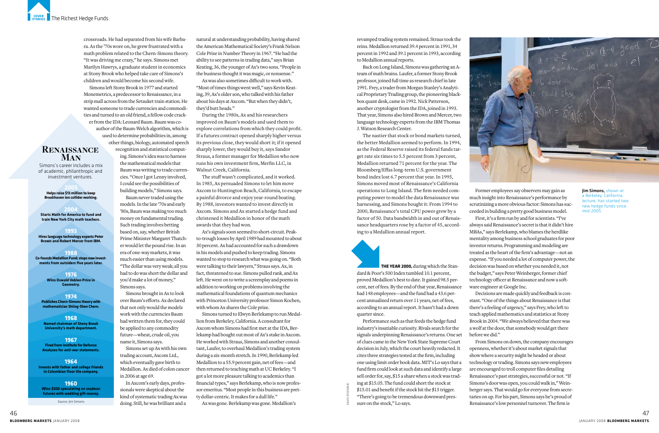revamped trading system remained. Straus took the reins. Medallion returned 39.4 percent in 1991, 34 percent in 1992 and 39.1 percent in 1993, according to Medallion annual reports.

Back on Long Island, Simons was gathering an Ateam of math brains. Laufer, a former Stony Brook professor, joined full time as research chief in late 1991. Frey, a trader from Morgan Stanley's Analytical Proprietary Trading group, the pioneering blackbox quant desk, came in 1992. Nick Patterson, another cryptologist from the IDA, joined in 1993. That year, Simons also hired Brown and Mercer, two language technology experts from the IBM Thomas J. Watson Research Center.

**THE YEAR 2000,** during which the Standard & Poor's 500 Index tumbled 10.1 percent, proved Medallion's best to date. It gained 98.5 percent, net of fees. By the end of that year, Renaissance had 148 employees—and the fund had a 43.6 percent annualized return over 11 years, net of fees, according to an annual report. It hasn't had a down quarter since.

The nastier that stock or bond markets turned, the better Medallion seemed to perform. In 1994, as the Federal Reserve raised its federal funds target rate six times to 5.5 percent from 3 percent, Medallion returned 71 percent for the year. The Bloomberg/Effas long-term U.S. government bond index lost 6.7 percent that year. In 1995, Simons moved most of Renaissance's California operations to Long Island. The firm needed computing power to model the data Renaissance was harnessing, and Simons bought it: From 1994 to 2000, Renaissance's total CPU power grew by a factor of 50. Data bandwidth in and out of Renaissance headquarters rose by a factor of 45, according to a Medallion annual report.

Performance such as that feeds the hedge fund industry's insatiable curiosity. Rivals search for the signals underpinning Renaissance's returns. One set of clues came in the New York State Supreme Court decision in July, which the court heavily redacted. It cites three strategies tested at the firm, including one using limit order book data. MIT's Lo says that a fund firm could look at such data and identify a large sell order for, say, \$15 a share when a stock was trading at \$15.05. The fund could short the stock at \$15.01 and benefit if the stock hit the \$15 trigger. "There's going to be tremendous downward pressure on the stock," Lo says.

crossroads. He had separated from his wife Barbara. As the '70s wore on, he grew frustrated with a math problem related to the Chern-Simons theory. "It was driving me crazy," he says. Simons met Marilyn Hawrys, a graduate student in economics at Stony Brook who helped take care of Simons's children and would become his second wife.

Simons left Stony Brook in 1977 and started Monemetrics, a predecessor to Renaissance, in a strip mall across from the Setauket train station. He wanted someone to trade currencies and commodities and turned to an old friend, a fellow code cracker from the IDA: Leonard Baum. Baum was coauthor of the Baum-Welch algorithm, which is used to determine probabilities in, among other things, biology, automated speech

> recognition and statistical computing. Simons's idea was to harness the mathematical models that Baum was writing to trade currencies. "Once I got Lenny involved, I could see the possibilities of building models," Simons says. Baum never traded using the models. In the late '70s and early '80s, Baum was making too much money on fundamental trading. Such trading involves betting based on, say, whether British Prime Minister Margaret Thatcher would let the pound rise. In an era of one-way markets, it was much easier than using models. "The dollar was very weak; all you had to do was short the dollar and you'd make a lot of money,"

#### **RENAISSANCE MAN**

Simons says.

Simons brought in Ax to look over Baum's efforts. Ax declared that not only would the models work with the currencies Baum had written them for, they could be applied to any commodity future—wheat, crude oil, you name it, Simons says.

Simons set up Ax with his own trading account, Axcom Ltd., which eventually gave birth to Medallion. Ax died of colon cancer

in 2006 at age 69.

In Axcom's early days, professionals were skeptical about the kind of systematic trading Ax was doing. Still, he was brilliant and a Jim Simons, shown at a Berkeley, California, lecture, has started two new hedge funds since mid-2005.

natural at understanding probability, having shared the American Mathematical Society's Frank Nelson Cole Prize in Number Theory in 1967. "He had the ability to see patterns in trading data," says Brian Keating, 36, the younger of Ax's two sons. "People in the business thought it was magic, or nonsense."

Ax was also sometimes difficult to work with. "Most of times things went well," says Kevin Keating, 39, Ax's older son, who talked with his father about his days at Axcom. "But when they didn't, they'd butt heads."

During the 1980s, Ax and his researchers improved on Baum's models and used them to explore correlations from which they could profit. If a futures contract opened sharply higher versus its previous close, they would short it; if it opened sharply lower, they would buy it, says Sandor Straus, a former manager for Medallion who now runs his own investment firm, Merfin LLC, in Walnut Creek, California.

The stuff wasn't complicated, and it worked. In 1985, Ax persuaded Simons to let him move Axcom to Huntington Beach, California, to escape a painful divorce and enjoy year-round boating. By 1988, investors wanted to invest directly in Axcom. Simons and Ax started a hedge fund and christened it Medallion in honor of the math awards that they had won.

Ax's signals soon seemed to short-circuit. Peakto-trough losses by April 1989 had mounted to about 30 percent. Ax had accounted for such a drawdown in his models and pushed to keep trading. Simons wanted to stop to research what was going on. "Both were talking to their lawyers," Straus says. Ax, in fact, threatened to sue. Simons pulled rank, and Ax left. He went on to write a screenplay and poems in addition to working on problems involving the mathematical foundations of quantum mechanics with Princeton University professor Simon Kochen, with whom Ax shares the Cole prize.

Simons turned to Elwyn Berlekamp to run Medallion from Berkeley, California. A consultant for Axcom whom Simons had first met at the IDA, Berlekamp had bought out most of Ax's stake in Axcom. He worked with Straus, Simons and another consultant, Laufer, to overhaul Medallion's trading system during a six-month stretch. In 1990, Berlekamp led Medallion to a 55.9 percent gain, net of fees—and then returned to teaching math at UC Berkeley. "I got a lot more pleasure talking to academics than financial types," says Berlekamp, who is now professor emeritus. "Most people in this business are pretty dollar-centric. It makes for a dull life."

Ax was gone. Berlekamp was gone. Medallion's

Former employees say observers may gain as much insight into Renaissance's performance by scrutinizing a more obvious factor: Simons has succeeded in building a pretty good business model. First, it's a firm run by and for scientists. "I've always said Renaissance's secret is that it didn't hire MBAs," says Berlekamp, who blames the herdlike mentality among business school graduates for poor investor returns. Programming and modeling are treated as the heart of the firm's advantage—not an expense. "If you needed a lot of computer power, the decision was based on whether you needed it, not the budget," says Peter Weinberger, former chief technology officer at Renaissance and now a software engineer at Google Inc.

Decisions are made quickly and feedback is constant. "One of the things about Renaissance is that there's a feeling of urgency," says Frey, who left to teach applied mathematics and statistics at Stony Brook in 2004. "We always believed that there was a wolf at the door, that somebody would get there before we did."

From Simons on down, the company encourages openness, whether it's about market signals that show where a security might be headed or about technology or trading. Simons says new employees are encouraged to troll computer files detailing Renaissance's past strategies, successful or not. "If Simons's door was open, you could walk in," Weinberger says. That would go for everyone from secretaries on up. For his part, Simons says he's proud of Renaissance's low personnel turnover. The firm is

Simons's career includes a mix of academic, philanthropic and investment ventures.

Source: Jim Simons

**2005 Helps raise \$13 million to keep Brookhaven ion collider working.**

**2004 Starts Math for America to fund and train New York City math teachers.**

#### **1993 Hires language technology experts Peter**

**Brown and Robert Mercer from IBM.**

#### **1988**

**Co-founds Medallion Fund; stops new investments from outsiders five years later.**

> **1976 Wins Oswald Veblen Prize in Geometry.**

a= Je Is-Ch-1 good 2 could show

**1974 Publishes Chern-Simons theory with mathematician Shiing-Shen Chern.**

**1968 Named chairman of Stony Brook University's math department.**

**1967 Fired from Institute for Defense Analyses for anti-war statements.**

**1964 Invests with father and college friends in Colombian floor tile company.**

**1960 Wins \$500 speculating on soybean futures with wedding gift money.**

david eisenbud